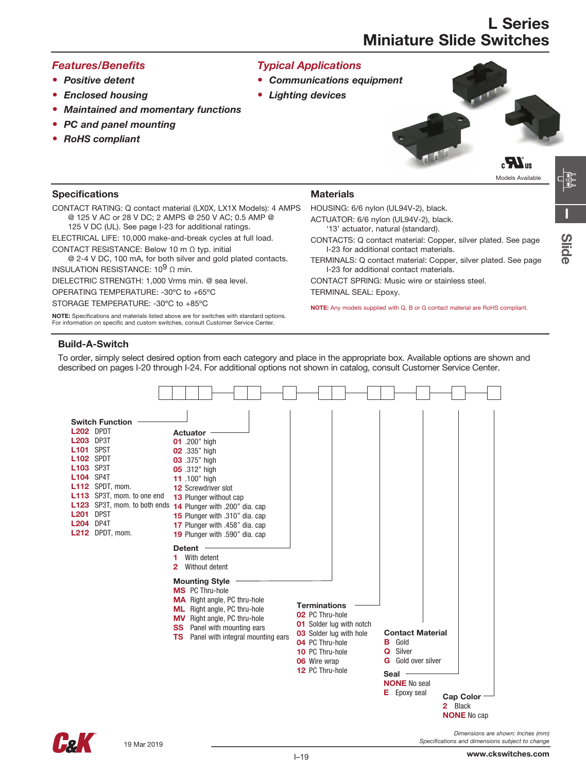### *Features/Benefits*

- • *Positive detent*
- *Enclosed housing*
- *Maintained and momentary functions*
- *PC and panel mounting*
- *RoHS compliant*



- • *Communications equipment*
- • *Lighting devices*



**Specifications** 

CONTACT RATING: Q contact material (LX0X, LX1X Models): 4 AMPS @ 125 V AC or 28 V DC; 2 AMPS @ 250 V AC; 0.5 AMP @

125 V DC (UL). See page I-23 for additional ratings.

ELECTRICAL LIFE: 10,000 make-and-break cycles at full load. CONTACT RESISTANCE: Below 10 m Ω typ. initial

@ 2-4 V DC, 100 mA, for both silver and gold plated contacts. INSULATION RESISTANCE:  $10^9$  Ω min.

DIELECTRIC STRENGTH: 1,000 Vrms min. @ sea level.

OPERATING TEMPERATURE: -30ºC to +65ºC

STORAGE TEMPERATURE: -30ºC to +85ºC

NOTE: Specifications and materials listed above are for switches with standard options. For information on specific and custom switches, consult Customer Service Center.

### **Materials**

HOUSING: 6/6 nylon (UL94V-2), black.

ACTUATOR: 6/6 nylon (UL94V-2), black.

- '13' actuator, natural (standard).
- CONTACTS: Q contact material: Copper, silver plated. See page I-23 for additional contact materials.

TERMINALS: Q contact material: Copper, silver plated. See page I-23 for additional contact materials.

CONTACT SPRING: Music wire or stainless steel.

TERMINAL SEAL: Epoxy.

NOTE: Any models supplied with Q, B or G contact material are RoHS compliant.

### Build-A-Switch

To order, simply select desired option from each category and place in the appropriate box. Available options are shown and described on pages I-20 through I-24. For additional options not shown in catalog, consult Customer Service Center.



19 Mar 2019

Models Available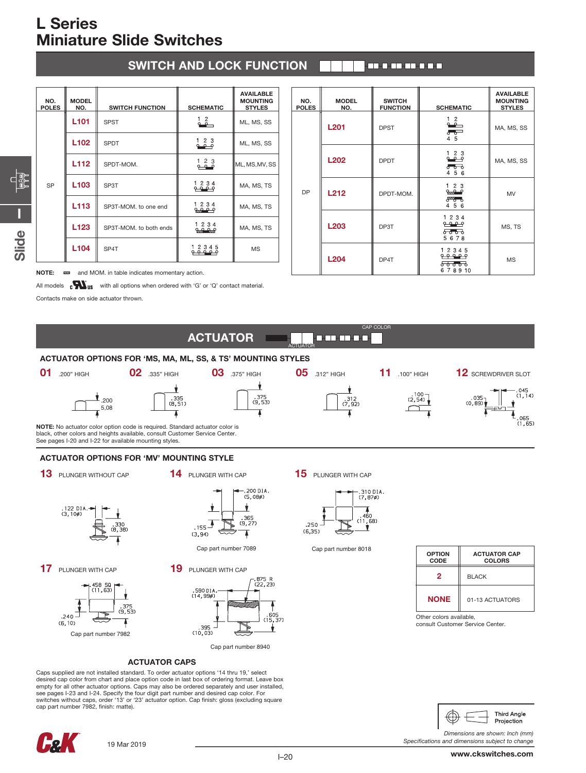| <b>SWITCH AND LOCK FUNCTION</b> | 1 <b>ETHERTERED I</b> |
|---------------------------------|-----------------------|
|---------------------------------|-----------------------|

| NO.<br><b>POLES</b> | <b>MODEL</b><br>NO. | <b>SWITCH FUNCTION</b> | <b>SCHEMATIC</b>                                                       | <b>AVAILABLE</b><br><b>MOUNTING</b><br><b>STYLES</b> |
|---------------------|---------------------|------------------------|------------------------------------------------------------------------|------------------------------------------------------|
| SP                  | L <sub>101</sub>    | <b>SPST</b>            | $\frac{1}{2}$                                                          | ML, MS, SS                                           |
|                     | L <sub>102</sub>    | <b>SPDT</b>            | $\begin{smallmatrix} 1 & 2 & 3 \\ 2 & -2 & 2 \end{smallmatrix}$        | ML, MS, SS                                           |
|                     | L <sub>112</sub>    | SPDT-MOM.              | 123                                                                    | ML, MS, MV, SS                                       |
|                     | L <sub>103</sub>    | SP3T                   | $\begin{array}{c} 1 & 2 & 3 & 4 \\ 2 & 2 & 9 \\ 1 & 1 & 1 \end{array}$ | MA, MS, TS                                           |
|                     | L113                | SP3T-MOM, to one end   | $\begin{array}{ccc} 1 & 2 & 3 & 4 \\ 2 & 2 & 0 & 9 \\ \end{array}$     | MA, MS, TS                                           |
|                     | L <sub>123</sub>    | SP3T-MOM, to both ends | 1234<br><u>مرہ مرہ</u>                                                 | MA, MS, TS                                           |
|                     | L <sub>104</sub>    | SP4T                   | 12345                                                                  | <b>MS</b>                                            |

| NO.<br><b>POLES</b> | <b>MODEL</b><br>NO. | <b>SWITCH</b><br><b>FUNCTION</b> | <b>SCHEMATIC</b>                                                                  | <b>AVAILABLE</b><br><b>MOUNTING</b><br><b>STYLES</b> |
|---------------------|---------------------|----------------------------------|-----------------------------------------------------------------------------------|------------------------------------------------------|
| <b>DP</b>           | <b>L201</b>         | <b>DPST</b>                      | $\overset{1}{\bullet}$<br>$\circ$ $\circ$<br>45                                   | MA, MS, SS                                           |
|                     | L202                | <b>DPDT</b>                      | $\begin{smallmatrix} 1 & 2 & 3 \\ 2 & -2 & -2 \end{smallmatrix}$<br>ಕಿಕಾ<br>4 5 6 | MA, MS, SS                                           |
|                     | <b>L212</b>         | DPDT-MOM.                        | $\frac{1}{2}$ $\frac{2}{2}$<br>$8\%$<br>4 5 6                                     | MV                                                   |
|                     | L <sub>203</sub>    | DP3T                             | 1 2 3 4<br><u>مومو</u><br>ಕಾಕಾ<br>5678                                            | MS, TS                                               |
|                     | L204                | DP4T                             | 1 2 3 4 5<br><del>8888</del><br>6 7 8 9 10                                        | <b>MS</b>                                            |

NOTE:  $\overline{22}$  and MOM. in table indicates momentary action.

All models  $\mathbf{c}$   $\mathbf{W}_{\text{us}}$  with all options when ordered with 'G' or 'Q' contact material.

Contacts make on side actuator thrown.

**I**

**Slide**



 $.240.$  $(6, 10)$ Cap part number 7982



ACTUATOR CAPS

Caps supplied are not installed standard. To order actuator options '14 thru 19,' select desired cap color from chart and place option code in last box of ordering format. Leave box empty for all other actuator options. Caps may also be ordered separately and user installed, see pages I-23 and I-24. Specify the four digit part number and desired cap color. For switches without caps, order '13' or '23' actuator option. Cap finish: gloss (excluding square cap part number 7982, finish: matte).



| <b>OPTION</b><br>CODE | <b>ACTUATOR CAP</b><br><b>COLORS</b> |
|-----------------------|--------------------------------------|
| 2                     | <b>BLACK</b>                         |
| <b>NONE</b>           | 01-13 ACTUATORS                      |

Other colors available, consult Customer Service Center.



*Specifications and dimensions subject to change*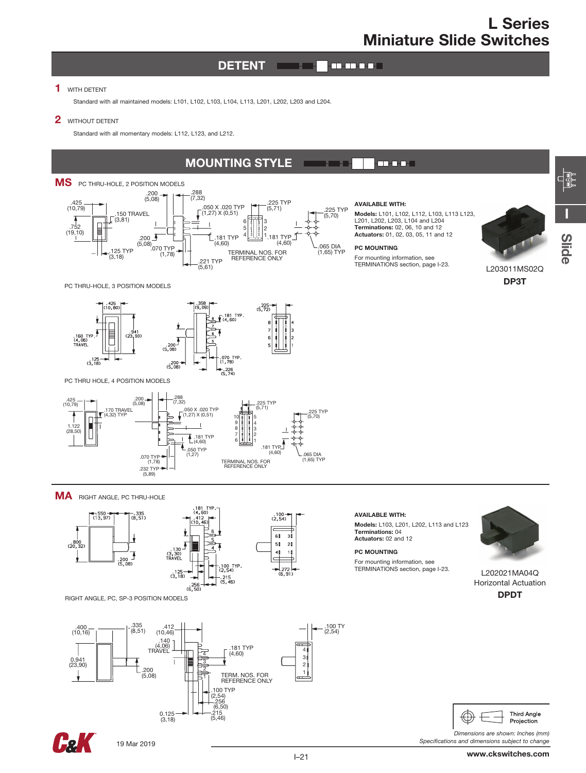#### **DETENT CONTRACTOR**

### 1 WITH DETENT

Standard with all maintained models: L101, L102, L103, L104, L113, L201, L202, L203 and L204.

### 2 **WITHOUT DETENT**

Standard with all momentary models: L112, L123, and L212.

#### MOUNTING STYLE **FOR DEAL** n an an



.221 TYP (5,61)

#### AVAILABLE WITH:

Models: L101, L102, L112, L103, L113 L123, L201, L202, L203, L104 and L204<br>**Terminations:** 02, 06, 10 and 12 Actuators: 01, 02, 03, 05, 11 and 12

#### PC MOUNTING

.225 TYP (5,70)

For mounting information, see TERMINATIONS section, page I-23.



DP3T

L203011MS02Q

**I**

**FEP** 

<u>လူ</u> **e**

PC THRU-HOLE, 3 POSITION MODELS

 $(3,18)$ 



PC THRU HOLE, 4 POSITION MODELS



MA RIGHT ANGLE, PC THRU-HOLE



RIGHT ANGLE, PC, SP-3 POSITION MODELS



### AVAILABLE WITH:

Models: L103, L201, L202, L113 and L123 Terminations: 04 Actuators: 02 and 12

#### PC MOUNTING

For mounting information, see TERMINATIONS section, page I-23.



L202021MA04Q Horizontal Actuation DPDT



*Dimensions are shown: Inches (mm) Specifications and dimensions subject to change*

Hol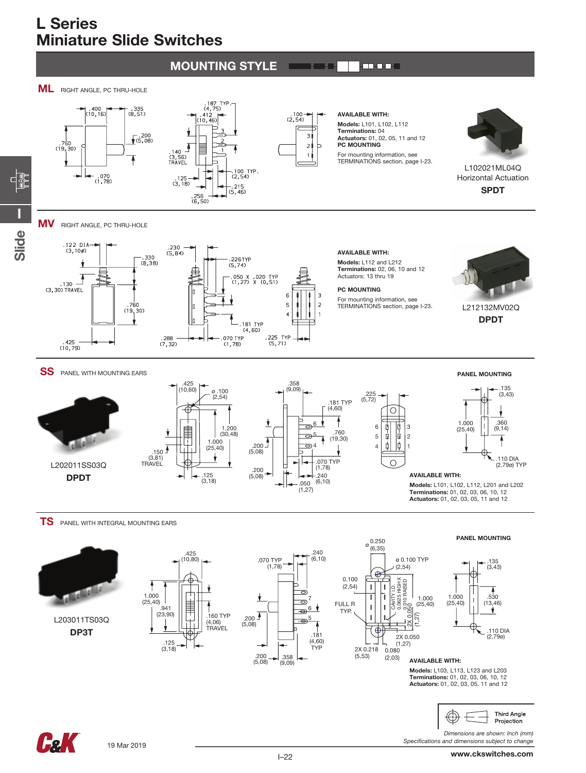#### MOUNTING STYLE an an I







 $(2, 54)$ В  $\overline{z}$ 

AVAILABLE WITH: Models: L101, L102, L112 Terminations: 04 Actuators: 01, 02, 05, 11 and 12 PC MOUNTING

For mounting information, see TERMINATIONS section, page I-23.



L102021ML04Q Horizontal Actuation SPDT

**MV** RIGHT ANGLE, PC THRU-HOLE

**I**

 $\begin{matrix} \begin{matrix} 1 \\ 1 \end{matrix} \end{matrix}$ 

**Slide**



Models: L112 and L212

Terminations: 02, 06, 10 and 12 Actuators: 13 thru 19



 $.225$ <br>(5,72)

6 5 4

3 2 1

⌒

Ò |ů

ф |¢

◠

For mounting information, see TERMINATIONS section, page I-23.



L212132MV02Q DPDT

### SS PANEL WITH MOUNTING EARS







AVAILABLE WITH:

Models: L101, L102, L112, L201 and L202 Terminations: 01, 02, 03, 06, 10, 12 Actuators: 01, 02, 03, 05, 11 and 12

**TS** PANEL WITH INTEGRAL MOUNTING EARS



L203011TS03Q DP3T



 $.150 \text{ }^{\bigtriangleup}$ (3,81) TRAVEL









AVAILABLE WITH:

Models: L103, L113, L123 and L203 Terminations: 01, 02, 03, 06, 10, 12 Actuators: 01, 02, 03, 05, 11 and 12



*Dimensions are shown: Inch (mm) Specifications and dimensions subject to change*

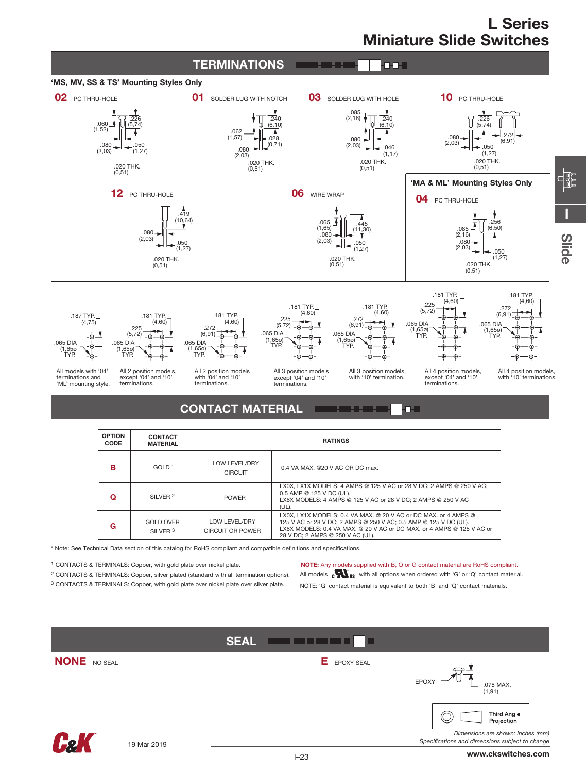**I**

<u>လူ</u> **e**



| в | GOLD <sup>1</sup>                       | LOW LEVEL/DRY<br><b>CIRCUIT</b>   | 0.4 VA MAX, @20 V AC OR DC max.                                                                                                                                                                                                                  |
|---|-----------------------------------------|-----------------------------------|--------------------------------------------------------------------------------------------------------------------------------------------------------------------------------------------------------------------------------------------------|
|   | SII VFR 2                               | <b>POWER</b>                      | LX0X, LX1X MODELS: 4 AMPS @ 125 V AC or 28 V DC: 2 AMPS @ 250 V AC:<br>0.5 AMP @ 125 V DC (UL).<br>LX6X MODELS: 4 AMPS @ 125 V AC or 28 V DC: 2 AMPS @ 250 V AC<br>(UL).                                                                         |
| G | <b>GOLD OVER</b><br>SILVER <sup>3</sup> | LOW LEVEL/DRY<br>CIRCUIT OR POWER | LX0X, LX1X MODELS: 0.4 VA MAX, @ 20 V AC or DC MAX, or 4 AMPS @<br>125 V AC or 28 V DC; 2 AMPS @ 250 V AC; 0.5 AMP @ 125 V DC (UL).<br>LX6X MODELS: 0.4 VA MAX. @ 20 V AC or DC MAX. or 4 AMPS @ 125 V AC or<br>28 V DC: 2 AMPS @ 250 V AC (UL). |

\* Note: See Technical Data section of this catalog for RoHS compliant and compatible definitions and specifications.

1 CONTACTS & TERMINALS: Copper, with gold plate over nickel plate.

2 CONTACTS & TERMINALS: Copper, silver plated (standard with all termination options).

3 CONTACTS & TERMINALS: Copper, with gold plate over nickel plate over silver plate.

NOTE: Any models supplied with B, Q or G contact material are RoHS compliant.

All models  $\mathbf{c}\mathbf{W}_{\text{us}}$  with all options when ordered with 'G' or 'Q' contact material.

NOTE: 'G' contact material is equivalent to both 'B' and 'Q' contact materials.

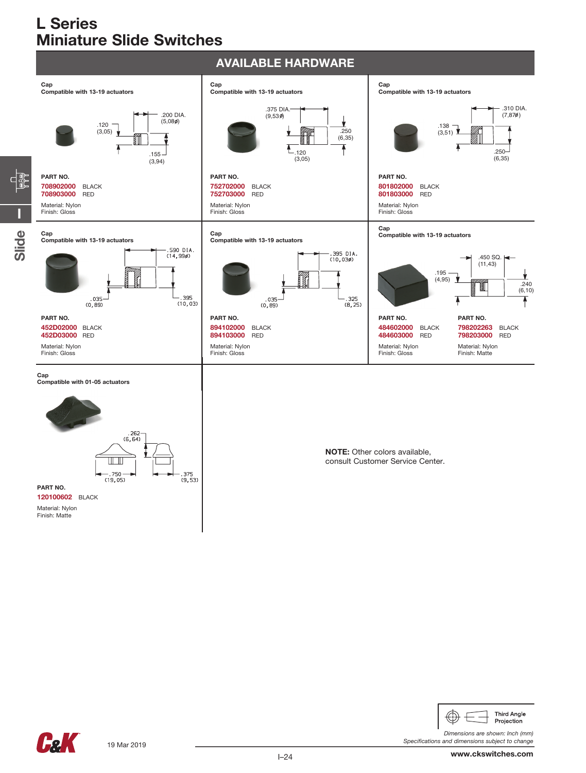



*Dimensions are shown: Inch (mm) Specifications and dimensions subject to change*

**FeK** 

I–24